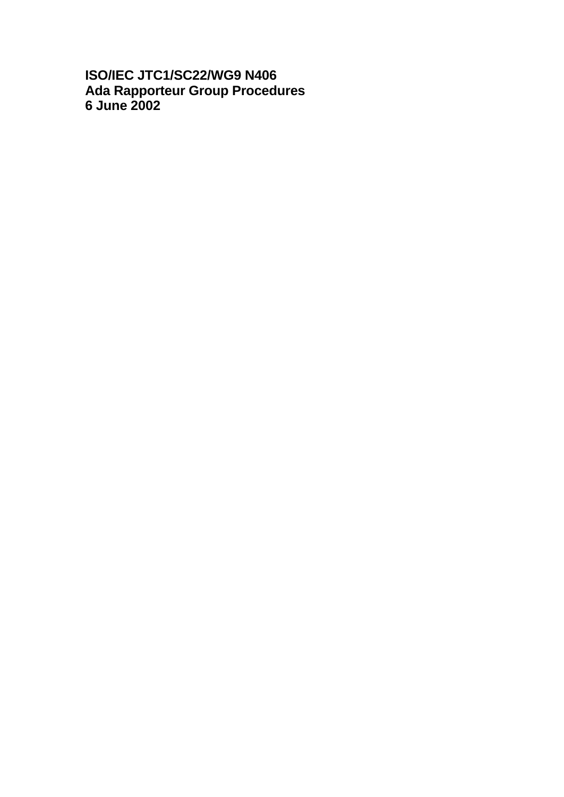# **ISO/IEC JTC1/SC22/WG9 N406 Ada Rapporteur Group Procedures 6 June 2002**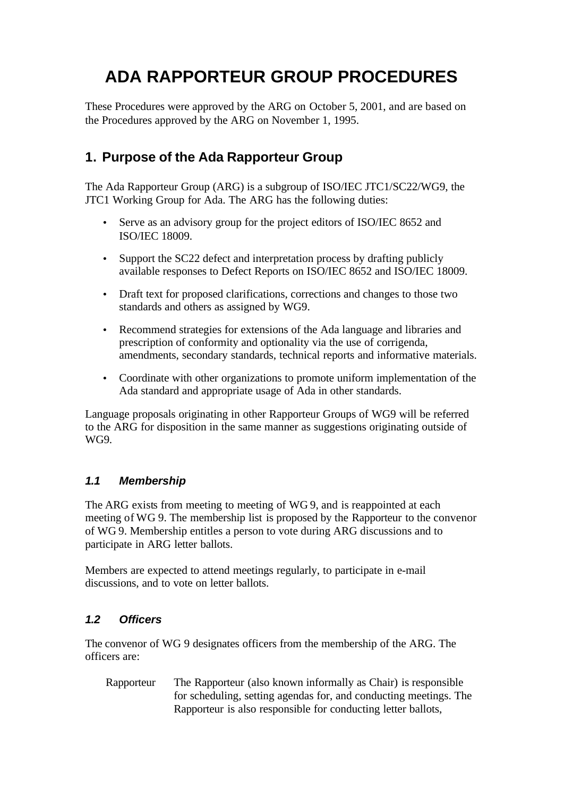# **ADA RAPPORTEUR GROUP PROCEDURES**

These Procedures were approved by the ARG on October 5, 2001, and are based on the Procedures approved by the ARG on November 1, 1995.

# **1. Purpose of the Ada Rapporteur Group**

The Ada Rapporteur Group (ARG) is a subgroup of ISO/IEC JTC1/SC22/WG9, the JTC1 Working Group for Ada. The ARG has the following duties:

- Serve as an advisory group for the project editors of ISO/IEC 8652 and ISO/IEC 18009.
- Support the SC22 defect and interpretation process by drafting publicly available responses to Defect Reports on ISO/IEC 8652 and ISO/IEC 18009.
- Draft text for proposed clarifications, corrections and changes to those two standards and others as assigned by WG9.
- Recommend strategies for extensions of the Ada language and libraries and prescription of conformity and optionality via the use of corrigenda, amendments, secondary standards, technical reports and informative materials.
- Coordinate with other organizations to promote uniform implementation of the Ada standard and appropriate usage of Ada in other standards.

Language proposals originating in other Rapporteur Groups of WG9 will be referred to the ARG for disposition in the same manner as suggestions originating outside of WG9.

### *1.1 Membership*

The ARG exists from meeting to meeting of WG 9, and is reappointed at each meeting of WG 9. The membership list is proposed by the Rapporteur to the convenor of WG 9. Membership entitles a person to vote during ARG discussions and to participate in ARG letter ballots.

Members are expected to attend meetings regularly, to participate in e-mail discussions, and to vote on letter ballots.

### *1.2 Officers*

The convenor of WG 9 designates officers from the membership of the ARG. The officers are:

Rapporteur The Rapporteur (also known informally as Chair) is responsible for scheduling, setting agendas for, and conducting meetings. The Rapporteur is also responsible for conducting letter ballots,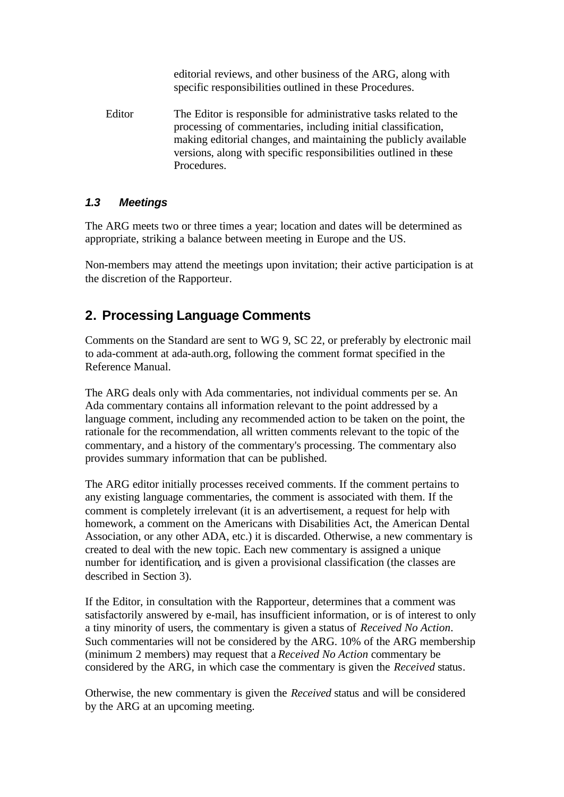editorial reviews, and other business of the ARG, along with specific responsibilities outlined in these Procedures.

Editor The Editor is responsible for administrative tasks related to the processing of commentaries, including initial classification, making editorial changes, and maintaining the publicly available versions, along with specific responsibilities outlined in these Procedures.

### *1.3 Meetings*

The ARG meets two or three times a year; location and dates will be determined as appropriate, striking a balance between meeting in Europe and the US.

Non-members may attend the meetings upon invitation; their active participation is at the discretion of the Rapporteur.

# **2. Processing Language Comments**

Comments on the Standard are sent to WG 9, SC 22, or preferably by electronic mail to ada-comment at ada-auth.org, following the comment format specified in the Reference Manual.

The ARG deals only with Ada commentaries, not individual comments per se. An Ada commentary contains all information relevant to the point addressed by a language comment, including any recommended action to be taken on the point, the rationale for the recommendation, all written comments relevant to the topic of the commentary, and a history of the commentary's processing. The commentary also provides summary information that can be published.

The ARG editor initially processes received comments. If the comment pertains to any existing language commentaries, the comment is associated with them. If the comment is completely irrelevant (it is an advertisement, a request for help with homework, a comment on the Americans with Disabilities Act, the American Dental Association, or any other ADA, etc.) it is discarded. Otherwise, a new commentary is created to deal with the new topic. Each new commentary is assigned a unique number for identification, and is given a provisional classification (the classes are described in Section 3).

If the Editor, in consultation with the Rapporteur, determines that a comment was satisfactorily answered by e-mail, has insufficient information, or is of interest to only a tiny minority of users, the commentary is given a status of *Received No Action*. Such commentaries will not be considered by the ARG. 10% of the ARG membership (minimum 2 members) may request that a *Received No Action* commentary be considered by the ARG, in which case the commentary is given the *Received* status.

Otherwise, the new commentary is given the *Received* status and will be considered by the ARG at an upcoming meeting.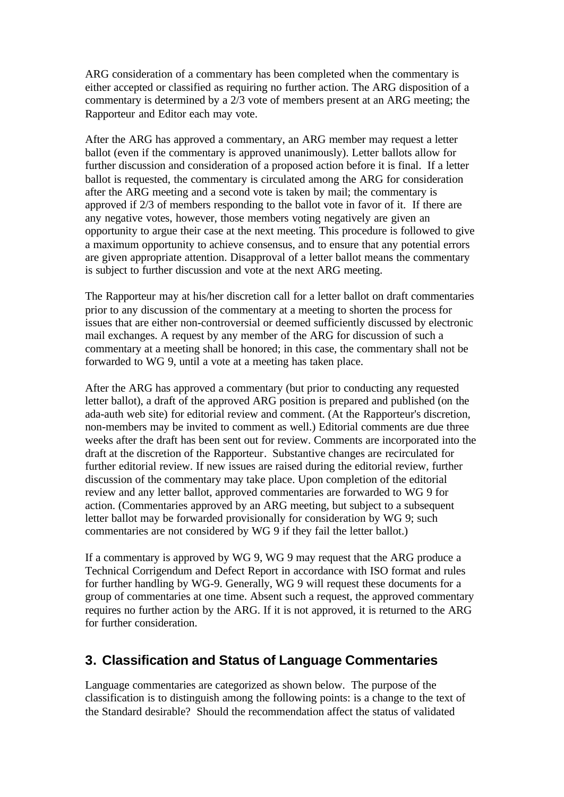ARG consideration of a commentary has been completed when the commentary is either accepted or classified as requiring no further action. The ARG disposition of a commentary is determined by a 2/3 vote of members present at an ARG meeting; the Rapporteur and Editor each may vote.

After the ARG has approved a commentary, an ARG member may request a letter ballot (even if the commentary is approved unanimously). Letter ballots allow for further discussion and consideration of a proposed action before it is final. If a letter ballot is requested, the commentary is circulated among the ARG for consideration after the ARG meeting and a second vote is taken by mail; the commentary is approved if 2/3 of members responding to the ballot vote in favor of it. If there are any negative votes, however, those members voting negatively are given an opportunity to argue their case at the next meeting. This procedure is followed to give a maximum opportunity to achieve consensus, and to ensure that any potential errors are given appropriate attention. Disapproval of a letter ballot means the commentary is subject to further discussion and vote at the next ARG meeting.

The Rapporteur may at his/her discretion call for a letter ballot on draft commentaries prior to any discussion of the commentary at a meeting to shorten the process for issues that are either non-controversial or deemed sufficiently discussed by electronic mail exchanges. A request by any member of the ARG for discussion of such a commentary at a meeting shall be honored; in this case, the commentary shall not be forwarded to WG 9, until a vote at a meeting has taken place.

After the ARG has approved a commentary (but prior to conducting any requested letter ballot), a draft of the approved ARG position is prepared and published (on the ada-auth web site) for editorial review and comment. (At the Rapporteur's discretion, non-members may be invited to comment as well.) Editorial comments are due three weeks after the draft has been sent out for review. Comments are incorporated into the draft at the discretion of the Rapporteur. Substantive changes are recirculated for further editorial review. If new issues are raised during the editorial review, further discussion of the commentary may take place. Upon completion of the editorial review and any letter ballot, approved commentaries are forwarded to WG 9 for action. (Commentaries approved by an ARG meeting, but subject to a subsequent letter ballot may be forwarded provisionally for consideration by WG 9; such commentaries are not considered by WG 9 if they fail the letter ballot.)

If a commentary is approved by WG 9, WG 9 may request that the ARG produce a Technical Corrigendum and Defect Report in accordance with ISO format and rules for further handling by WG-9. Generally, WG 9 will request these documents for a group of commentaries at one time. Absent such a request, the approved commentary requires no further action by the ARG. If it is not approved, it is returned to the ARG for further consideration.

### **3. Classification and Status of Language Commentaries**

Language commentaries are categorized as shown below. The purpose of the classification is to distinguish among the following points: is a change to the text of the Standard desirable? Should the recommendation affect the status of validated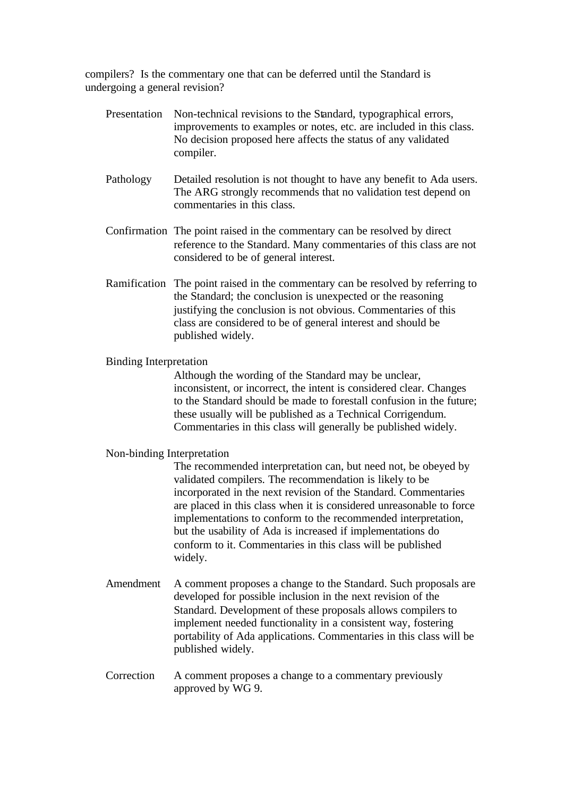compilers? Is the commentary one that can be deferred until the Standard is undergoing a general revision?

- Presentation Non-technical revisions to the Standard, typographical errors, improvements to examples or notes, etc. are included in this class. No decision proposed here affects the status of any validated compiler. Pathology Detailed resolution is not thought to have any benefit to Ada users. The ARG strongly recommends that no validation test depend on commentaries in this class. Confirmation The point raised in the commentary can be resolved by direct reference to the Standard. Many commentaries of this class are not considered to be of general interest. Ramification The point raised in the commentary can be resolved by referring to
- the Standard; the conclusion is unexpected or the reasoning justifying the conclusion is not obvious. Commentaries of this class are considered to be of general interest and should be published widely.

#### Binding Interpretation

Although the wording of the Standard may be unclear, inconsistent, or incorrect, the intent is considered clear. Changes to the Standard should be made to forestall confusion in the future; these usually will be published as a Technical Corrigendum. Commentaries in this class will generally be published widely.

#### Non-binding Interpretation

The recommended interpretation can, but need not, be obeyed by validated compilers. The recommendation is likely to be incorporated in the next revision of the Standard. Commentaries are placed in this class when it is considered unreasonable to force implementations to conform to the recommended interpretation, but the usability of Ada is increased if implementations do conform to it. Commentaries in this class will be published widely.

- Amendment A comment proposes a change to the Standard. Such proposals are developed for possible inclusion in the next revision of the Standard. Development of these proposals allows compilers to implement needed functionality in a consistent way, fostering portability of Ada applications. Commentaries in this class will be published widely.
- Correction A comment proposes a change to a commentary previously approved by WG 9.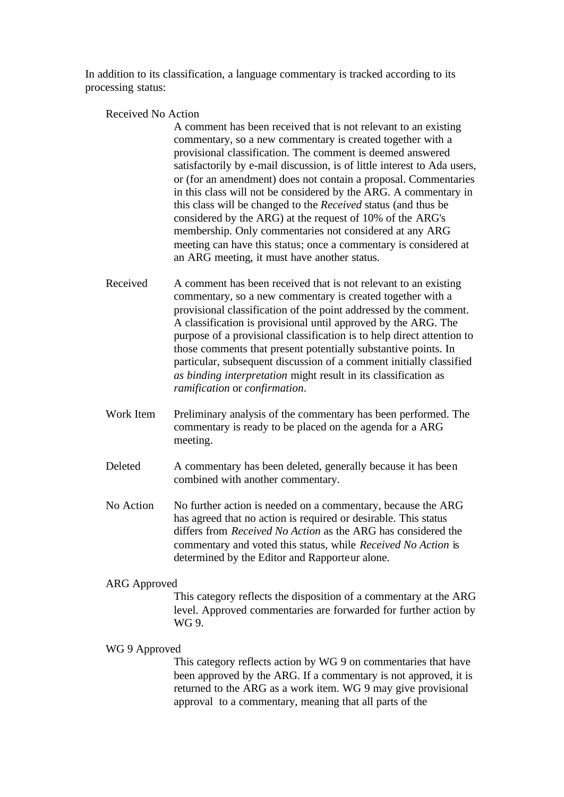In addition to its classification, a language commentary is tracked according to its processing status:

Received No Action

A comment has been received that is not relevant to an existing commentary, so a new commentary is created together with a provisional classification. The comment is deemed answered satisfactorily by e-mail discussion, is of little interest to Ada users, or (for an amendment) does not contain a proposal. Commentaries in this class will not be considered by the ARG. A commentary in this class will be changed to the *Received* status (and thus be considered by the ARG) at the request of 10% of the ARG's membership. Only commentaries not considered at any ARG meeting can have this status; once a commentary is considered at an ARG meeting, it must have another status.

- Received A comment has been received that is not relevant to an existing commentary, so a new commentary is created together with a provisional classification of the point addressed by the comment. A classification is provisional until approved by the ARG. The purpose of a provisional classification is to help direct attention to those comments that present potentially substantive points. In particular, subsequent discussion of a comment initially classified *as binding interpretation* might result in its classification as *ramification* or *confirmation*.
- Work Item Preliminary analysis of the commentary has been performed. The commentary is ready to be placed on the agenda for a ARG meeting.
- Deleted A commentary has been deleted, generally because it has been combined with another commentary.
- No Action No further action is needed on a commentary, because the ARG has agreed that no action is required or desirable. This status differs from *Received No Action* as the ARG has considered the commentary and voted this status, while *Received No Action* is determined by the Editor and Rapporteur alone.

#### ARG Approved

This category reflects the disposition of a commentary at the ARG level. Approved commentaries are forwarded for further action by WG 9.

#### WG 9 Approved

This category reflects action by WG 9 on commentaries that have been approved by the ARG. If a commentary is not approved, it is returned to the ARG as a work item. WG 9 may give provisional approval to a commentary, meaning that all parts of the